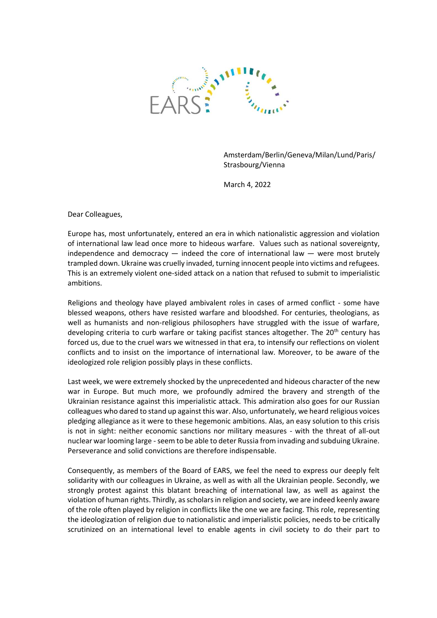

Amsterdam/Berlin/Geneva/Milan/Lund/Paris/ Strasbourg/Vienna

March 4, 2022

Dear Colleagues,

Europe has, most unfortunately, entered an era in which nationalistic aggression and violation of international law lead once more to hideous warfare. Values such as national sovereignty, independence and democracy  $-$  indeed the core of international law  $-$  were most brutely trampled down. Ukraine was cruelly invaded, turning innocent people into victims and refugees. This is an extremely violent one-sided attack on a nation that refused to submit to imperialistic ambitions.

Religions and theology have played ambivalent roles in cases of armed conflict - some have blessed weapons, others have resisted warfare and bloodshed. For centuries, theologians, as well as humanists and non-religious philosophers have struggled with the issue of warfare, developing criteria to curb warfare or taking pacifist stances altogether. The 20<sup>th</sup> century has forced us, due to the cruel wars we witnessed in that era, to intensify our reflections on violent conflicts and to insist on the importance of international law. Moreover, to be aware of the ideologized role religion possibly plays in these conflicts.

Last week, we were extremely shocked by the unprecedented and hideous character of the new war in Europe. But much more, we profoundly admired the bravery and strength of the Ukrainian resistance against this imperialistic attack. This admiration also goes for our Russian colleagues who dared to stand up against this war. Also, unfortunately, we heard religious voices pledging allegiance as it were to these hegemonic ambitions. Alas, an easy solution to this crisis is not in sight: neither economic sanctions nor military measures - with the threat of all-out nuclear war looming large - seem to be able to deter Russia from invading and subduing Ukraine. Perseverance and solid convictions are therefore indispensable.

Consequently, as members of the Board of EARS, we feel the need to express our deeply felt solidarity with our colleagues in Ukraine, as well as with all the Ukrainian people. Secondly, we strongly protest against this blatant breaching of international law, as well as against the violation of human rights. Thirdly, as scholars in religion and society, we are indeed keenly aware of the role often played by religion in conflicts like the one we are facing. This role, representing the ideologization of religion due to nationalistic and imperialistic policies, needs to be critically scrutinized on an international level to enable agents in civil society to do their part to